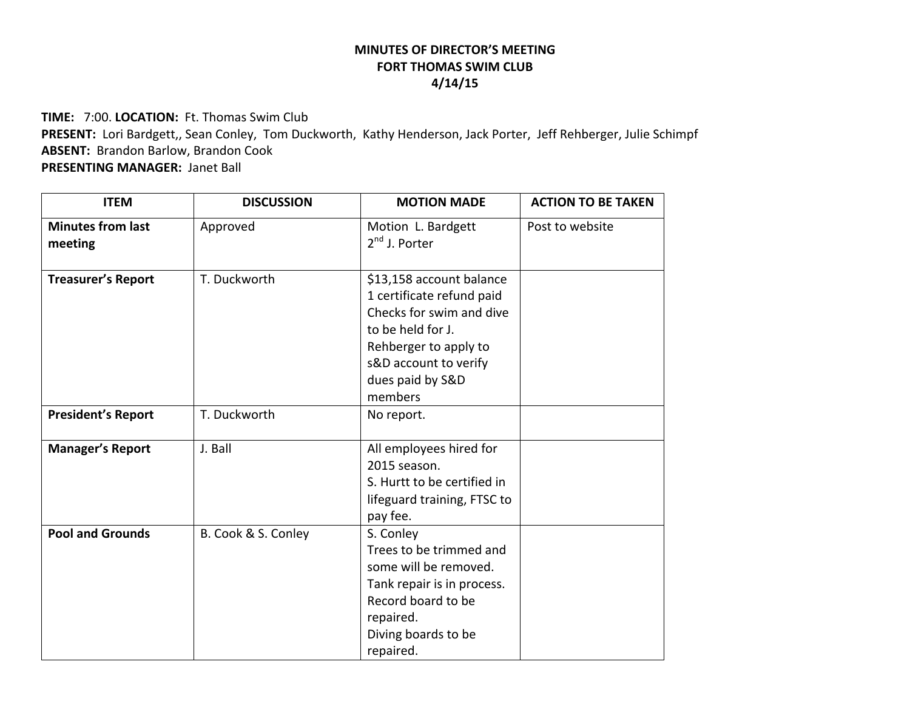## **MINUTES OF DIRECTOR'S MEETING FORT THOMAS SWIM CLUB 4/14/15**

**TIME:** 7:00. **LOCATION:** Ft. Thomas Swim Club

**PRESENT:** Lori Bardgett,, Sean Conley, Tom Duckworth, Kathy Henderson, Jack Porter, Jeff Rehberger, Julie Schimpf **ABSENT:** Brandon Barlow, Brandon Cook

**PRESENTING MANAGER:** Janet Ball

| <b>ITEM</b>                         | <b>DISCUSSION</b>   | <b>MOTION MADE</b>                                                                                                                                                                      | <b>ACTION TO BE TAKEN</b> |
|-------------------------------------|---------------------|-----------------------------------------------------------------------------------------------------------------------------------------------------------------------------------------|---------------------------|
| <b>Minutes from last</b><br>meeting | Approved            | Motion L. Bardgett<br>$2nd$ J. Porter                                                                                                                                                   | Post to website           |
| <b>Treasurer's Report</b>           | T. Duckworth        | \$13,158 account balance<br>1 certificate refund paid<br>Checks for swim and dive<br>to be held for J.<br>Rehberger to apply to<br>s&D account to verify<br>dues paid by S&D<br>members |                           |
| <b>President's Report</b>           | T. Duckworth        | No report.                                                                                                                                                                              |                           |
| <b>Manager's Report</b>             | J. Ball             | All employees hired for<br>2015 season.<br>S. Hurtt to be certified in<br>lifeguard training, FTSC to<br>pay fee.                                                                       |                           |
| <b>Pool and Grounds</b>             | B. Cook & S. Conley | S. Conley<br>Trees to be trimmed and<br>some will be removed.<br>Tank repair is in process.<br>Record board to be<br>repaired.<br>Diving boards to be<br>repaired.                      |                           |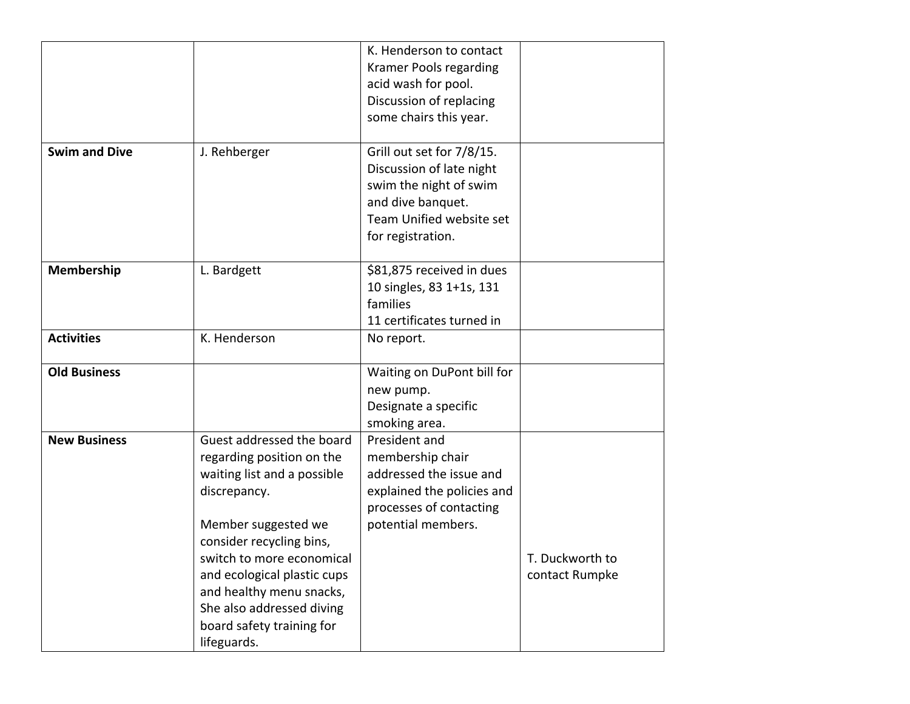|                      |                             | K. Henderson to contact    |                 |
|----------------------|-----------------------------|----------------------------|-----------------|
|                      |                             | Kramer Pools regarding     |                 |
|                      |                             | acid wash for pool.        |                 |
|                      |                             | Discussion of replacing    |                 |
|                      |                             | some chairs this year.     |                 |
|                      |                             |                            |                 |
| <b>Swim and Dive</b> | J. Rehberger                | Grill out set for 7/8/15.  |                 |
|                      |                             | Discussion of late night   |                 |
|                      |                             | swim the night of swim     |                 |
|                      |                             | and dive banquet.          |                 |
|                      |                             | Team Unified website set   |                 |
|                      |                             | for registration.          |                 |
|                      |                             |                            |                 |
| Membership           | L. Bardgett                 | \$81,875 received in dues  |                 |
|                      |                             | 10 singles, 83 1+1s, 131   |                 |
|                      |                             | families                   |                 |
|                      |                             | 11 certificates turned in  |                 |
| <b>Activities</b>    | K. Henderson                | No report.                 |                 |
|                      |                             |                            |                 |
| <b>Old Business</b>  |                             | Waiting on DuPont bill for |                 |
|                      |                             | new pump.                  |                 |
|                      |                             | Designate a specific       |                 |
|                      |                             | smoking area.              |                 |
| <b>New Business</b>  | Guest addressed the board   | President and              |                 |
|                      | regarding position on the   | membership chair           |                 |
|                      | waiting list and a possible | addressed the issue and    |                 |
|                      | discrepancy.                | explained the policies and |                 |
|                      |                             | processes of contacting    |                 |
|                      | Member suggested we         | potential members.         |                 |
|                      | consider recycling bins,    |                            |                 |
|                      | switch to more economical   |                            | T. Duckworth to |
|                      | and ecological plastic cups |                            | contact Rumpke  |
|                      | and healthy menu snacks,    |                            |                 |
|                      | She also addressed diving   |                            |                 |
|                      | board safety training for   |                            |                 |
|                      | lifeguards.                 |                            |                 |